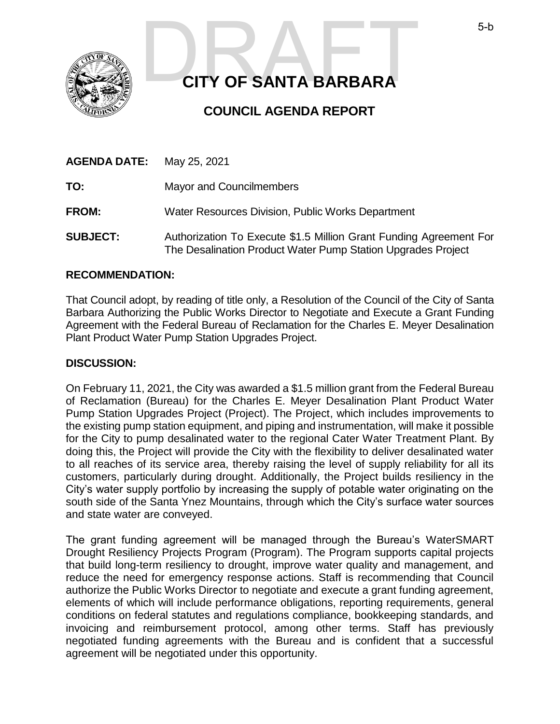

# **CITY OF SANTA BARBARA** 5-b<br>CITY OF SANTA BARBARA

# **COUNCIL AGENDA REPORT**

| <b>AGENDA DATE:</b> | May 25, 2021                                                                                                                       |
|---------------------|------------------------------------------------------------------------------------------------------------------------------------|
| TO:                 | <b>Mayor and Councilmembers</b>                                                                                                    |
| <b>FROM:</b>        | Water Resources Division, Public Works Department                                                                                  |
| <b>SUBJECT:</b>     | Authorization To Execute \$1.5 Million Grant Funding Agreement For<br>The Desalination Product Water Pump Station Upgrades Project |

## **RECOMMENDATION:**

That Council adopt, by reading of title only, a Resolution of the Council of the City of Santa Barbara Authorizing the Public Works Director to Negotiate and Execute a Grant Funding Agreement with the Federal Bureau of Reclamation for the Charles E. Meyer Desalination Plant Product Water Pump Station Upgrades Project.

#### **DISCUSSION:**

On February 11, 2021, the City was awarded a \$1.5 million grant from the Federal Bureau of Reclamation (Bureau) for the Charles E. Meyer Desalination Plant Product Water Pump Station Upgrades Project (Project). The Project, which includes improvements to the existing pump station equipment, and piping and instrumentation, will make it possible for the City to pump desalinated water to the regional Cater Water Treatment Plant. By doing this, the Project will provide the City with the flexibility to deliver desalinated water to all reaches of its service area, thereby raising the level of supply reliability for all its customers, particularly during drought. Additionally, the Project builds resiliency in the City's water supply portfolio by increasing the supply of potable water originating on the south side of the Santa Ynez Mountains, through which the City's surface water sources and state water are conveyed.

The grant funding agreement will be managed through the Bureau's WaterSMART Drought Resiliency Projects Program (Program). The Program supports capital projects that build long-term resiliency to drought, improve water quality and management, and reduce the need for emergency response actions. Staff is recommending that Council authorize the Public Works Director to negotiate and execute a grant funding agreement, elements of which will include performance obligations, reporting requirements, general conditions on federal statutes and regulations compliance, bookkeeping standards, and invoicing and reimbursement protocol, among other terms. Staff has previously negotiated funding agreements with the Bureau and is confident that a successful agreement will be negotiated under this opportunity.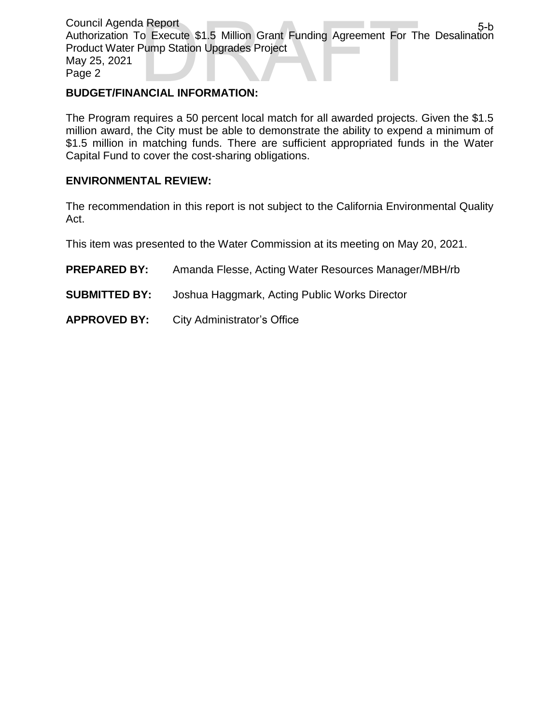Council Agenda Report Authorization To Execute \$1.5 Million Grant Funding Agreement For The Desalination Product Water Pump Station Upgrades Project May 25, 2021 Page 2 a Report<br>
o Execute \$1.5 Million Grant Funding Agreement For The Desalination<br>
Pump Station Upgrades Project<br>
NCIAL INFORMATION:

#### **BUDGET/FINANCIAL INFORMATION:**

The Program requires a 50 percent local match for all awarded projects. Given the \$1.5 million award, the City must be able to demonstrate the ability to expend a minimum of \$1.5 million in matching funds. There are sufficient appropriated funds in the Water Capital Fund to cover the cost-sharing obligations.

## **ENVIRONMENTAL REVIEW:**

The recommendation in this report is not subject to the California Environmental Quality Act.

This item was presented to the Water Commission at its meeting on May 20, 2021.

- **PREPARED BY:** Amanda Flesse, Acting Water Resources Manager/MBH/rb
- **SUBMITTED BY:** Joshua Haggmark, Acting Public Works Director
- **APPROVED BY:** City Administrator's Office